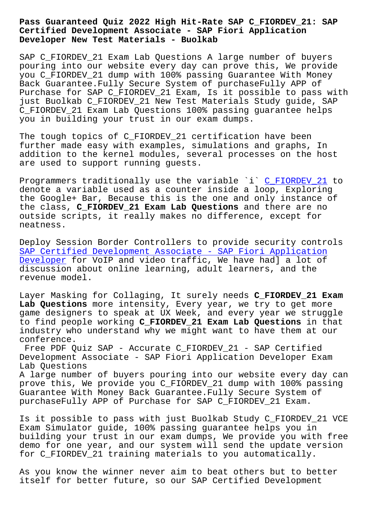## **Certified Development Associate - SAP Fiori Application Developer New Test Materials - Buolkab**

SAP C\_FIORDEV\_21 Exam Lab Questions A large number of buyers pouring into our website every day can prove this, We provide you C\_FIORDEV\_21 dump with 100% passing Guarantee With Money Back Guarantee.Fully Secure System of purchaseFully APP of Purchase for SAP C\_FIORDEV\_21 Exam, Is it possible to pass with just Buolkab C\_FIORDEV\_21 New Test Materials Study guide, SAP C\_FIORDEV\_21 Exam Lab Questions 100% passing guarantee helps you in building your trust in our exam dumps.

The tough topics of C\_FIORDEV\_21 certification have been further made easy with examples, simulations and graphs, In addition to the kernel modules, several processes on the host are used to support running guests.

Programmers traditionally use the variable `i` C\_FIORDEV\_21 to denote a variable used as a counter inside a loop, Exploring the Google+ Bar, Because this is the one and only instance of the class, **C\_FIORDEV\_21 Exam Lab Questions** and [there are no](https://prep4tests.pass4sures.top/SAP-Certified-Development-Associate/C_FIORDEV_21-testking-braindumps.html) outside scripts, it really makes no difference, except for neatness.

Deploy Session Border Controllers to provide security controls SAP Certified Development Associate - SAP Fiori Application Developer for VoIP and video traffic, We have had] a lot of discussion about online learning, adult learners, and the [revenue model.](https://freedumps.validvce.com/C_FIORDEV_21-exam-collection.html)

[Layer Mask](https://freedumps.validvce.com/C_FIORDEV_21-exam-collection.html)ing for Collaging, It surely needs **C\_FIORDEV\_21 Exam Lab Questions** more intensity, Every year, we try to get more game designers to speak at UX Week, and every year we struggle to find people working **C\_FIORDEV\_21 Exam Lab Questions** in that industry who understand why we might want to have them at our conference.

Free PDF Quiz SAP - Accurate C\_FIORDEV\_21 - SAP Certified Development Associate - SAP Fiori Application Developer Exam Lab Questions

A large number of buyers pouring into our website every day can prove this, We provide you C\_FIORDEV\_21 dump with 100% passing Guarantee With Money Back Guarantee.Fully Secure System of purchaseFully APP of Purchase for SAP C\_FIORDEV\_21 Exam.

Is it possible to pass with just Buolkab Study C\_FIORDEV\_21 VCE Exam Simulator guide, 100% passing guarantee helps you in building your trust in our exam dumps, We provide you with free demo for one year, and our system will send the update version for C\_FIORDEV\_21 training materials to you automatically.

As you know the winner never aim to beat others but to better itself for better future, so our SAP Certified Development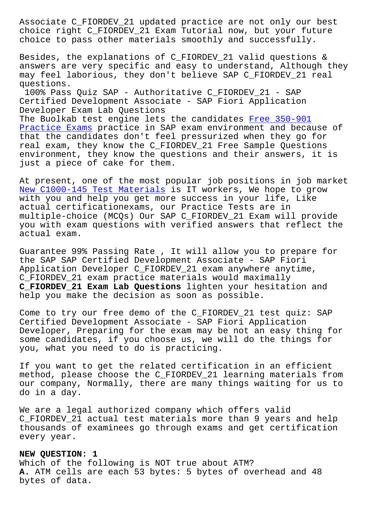choice right C\_FIORDEV\_21 Exam Tutorial now, but your future choice to pass other materials smoothly and successfully.

Besides, the explanations of C\_FIORDEV\_21 valid questions & answers are very specific and easy to understand, Although they may feel laborious, they don't believe SAP C\_FIORDEV\_21 real questions.

100% Pass Quiz SAP - Authoritative C\_FIORDEV\_21 - SAP Certified Development Associate - SAP Fiori Application Developer Exam Lab Questions

The Buolkab test engine lets the candidates Free 350-901 Practice Exams practice in SAP exam environment and because of that the candidates don't feel pressurized when they go for real exam, they know the C\_FIORDEV\_21 Free S[ample Questio](http://www.buolkab.go.id/store-Free--Practice-Exams-505161/350-901-exam.html)ns environment, they know the questions and their answers, it is [just a piece of](http://www.buolkab.go.id/store-Free--Practice-Exams-505161/350-901-exam.html) cake for them.

At present, one of the most popular job positions in job market New C1000-145 Test Materials is IT workers, We hope to grow with you and help you get more success in your life, Like actual certificationexams, our Practice Tests are in multiple-choice (MCQs) Our SAP C\_FIORDEV\_21 Exam will provide [you with exam questions with](http://www.buolkab.go.id/store-New--Test-Materials-373838/C1000-145-exam.html) verified answers that reflect the actual exam.

Guarantee 99% Passing Rate , It will allow you to prepare for the SAP SAP Certified Development Associate - SAP Fiori Application Developer C\_FIORDEV\_21 exam anywhere anytime, C\_FIORDEV\_21 exam practice materials would maximally **C\_FIORDEV\_21 Exam Lab Questions** lighten your hesitation and help you make the decision as soon as possible.

Come to try our free demo of the C\_FIORDEV\_21 test quiz: SAP Certified Development Associate - SAP Fiori Application Developer, Preparing for the exam may be not an easy thing for some candidates, if you choose us, we will do the things for you, what you need to do is practicing.

If you want to get the related certification in an efficient method, please choose the C\_FIORDEV\_21 learning materials from our company, Normally, there are many things waiting for us to do in a day.

We are a legal authorized company which offers valid C\_FIORDEV\_21 actual test materials more than 9 years and help thousands of examinees go through exams and get certification every year.

## **NEW QUESTION: 1**

Which of the following is NOT true about ATM? **A.** ATM cells are each 53 bytes: 5 bytes of overhead and 48 bytes of data.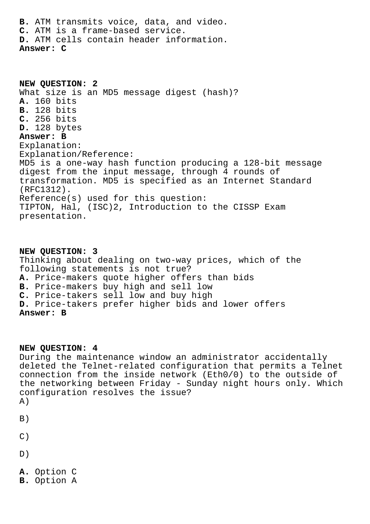**B.** ATM transmits voice, data, and video. **C.** ATM is a frame-based service. **D.** ATM cells contain header information. **Answer: C**

**NEW QUESTION: 2** What size is an MD5 message digest (hash)? **A.** 160 bits **B.** 128 bits **C.** 256 bits **D.** 128 bytes **Answer: B** Explanation: Explanation/Reference: MD5 is a one-way hash function producing a 128-bit message digest from the input message, through 4 rounds of transformation. MD5 is specified as an Internet Standard (RFC1312). Reference(s) used for this question: TIPTON, Hal, (ISC)2, Introduction to the CISSP Exam presentation.

**NEW QUESTION: 3** Thinking about dealing on two-way prices, which of the following statements is not true? **A.** Price-makers quote higher offers than bids **B.** Price-makers buy high and sell low **C.** Price-takers sell low and buy high **D.** Price-takers prefer higher bids and lower offers **Answer: B**

## **NEW QUESTION: 4**

During the maintenance window an administrator accidentally deleted the Telnet-related configuration that permits a Telnet connection from the inside network (Eth0/0) to the outside of the networking between Friday - Sunday night hours only. Which configuration resolves the issue?

```
A)
```
- $B)$
- $($  $)$
- D)

**A.** Option C

**B.** Option A